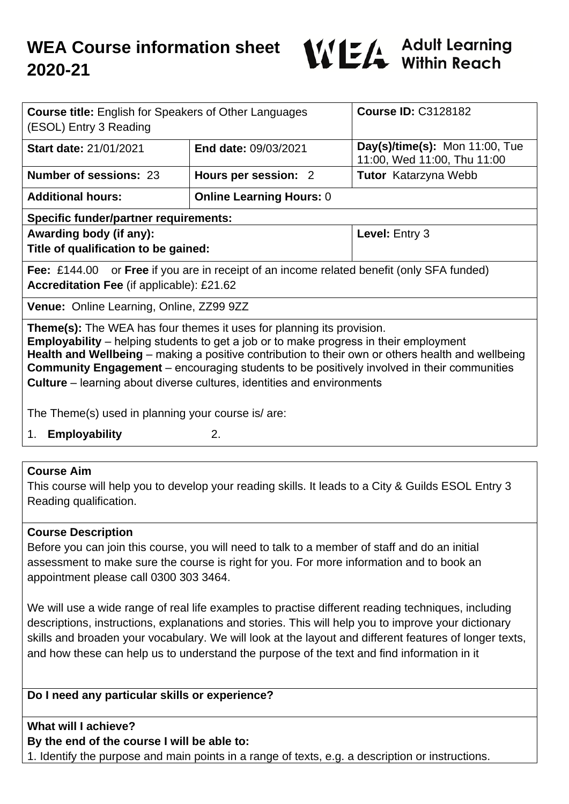

| <b>Course title:</b> English for Speakers of Other Languages<br>(ESOL) Entry 3 Reading                                                                                                                                                                                                                                                                                                                                                                                  |                                 | <b>Course ID: C3128182</b>                                    |
|-------------------------------------------------------------------------------------------------------------------------------------------------------------------------------------------------------------------------------------------------------------------------------------------------------------------------------------------------------------------------------------------------------------------------------------------------------------------------|---------------------------------|---------------------------------------------------------------|
| <b>Start date: 21/01/2021</b>                                                                                                                                                                                                                                                                                                                                                                                                                                           | End date: 09/03/2021            | Day(s)/time(s): Mon 11:00, Tue<br>11:00, Wed 11:00, Thu 11:00 |
| <b>Number of sessions: 23</b>                                                                                                                                                                                                                                                                                                                                                                                                                                           | Hours per session: 2            | Tutor Katarzyna Webb                                          |
| <b>Additional hours:</b>                                                                                                                                                                                                                                                                                                                                                                                                                                                | <b>Online Learning Hours: 0</b> |                                                               |
| <b>Specific funder/partner requirements:</b>                                                                                                                                                                                                                                                                                                                                                                                                                            |                                 |                                                               |
| Awarding body (if any):<br>Title of qualification to be gained:                                                                                                                                                                                                                                                                                                                                                                                                         |                                 | Level: Entry 3                                                |
| <b>Fee:</b> £144.00 or <b>Free</b> if you are in receipt of an income related benefit (only SFA funded)<br>Accreditation Fee (if applicable): £21.62                                                                                                                                                                                                                                                                                                                    |                                 |                                                               |
| Venue: Online Learning, Online, ZZ99 9ZZ                                                                                                                                                                                                                                                                                                                                                                                                                                |                                 |                                                               |
| <b>Theme(s):</b> The WEA has four themes it uses for planning its provision.<br><b>Employability</b> – helping students to get a job or to make progress in their employment<br>Health and Wellbeing – making a positive contribution to their own or others health and wellbeing<br><b>Community Engagement</b> – encouraging students to be positively involved in their communities<br><b>Culture</b> – learning about diverse cultures, identities and environments |                                 |                                                               |
| The Theme(s) used in planning your course is/are:                                                                                                                                                                                                                                                                                                                                                                                                                       |                                 |                                                               |
| <b>Employability</b><br>1.                                                                                                                                                                                                                                                                                                                                                                                                                                              | 2.                              |                                                               |
|                                                                                                                                                                                                                                                                                                                                                                                                                                                                         |                                 |                                                               |
| <b>Course Aim</b><br>This course will help you to develop your reading skills. It leads to a City & Guilds ESOL Entry 3<br>Reading qualification.                                                                                                                                                                                                                                                                                                                       |                                 |                                                               |
| <b>Course Description</b>                                                                                                                                                                                                                                                                                                                                                                                                                                               |                                 |                                                               |

Before you can join this course, you will need to talk to a member of staff and do an initial assessment to make sure the course is right for you. For more information and to book an appointment please call 0300 303 3464.

We will use a wide range of real life examples to practise different reading techniques, including descriptions, instructions, explanations and stories. This will help you to improve your dictionary skills and broaden your vocabulary. We will look at the layout and different features of longer texts, and how these can help us to understand the purpose of the text and find information in it

#### **Do I need any particular skills or experience?**

#### **What will I achieve?**

## **By the end of the course I will be able to:**

1. Identify the purpose and main points in a range of texts, e.g. a description or instructions.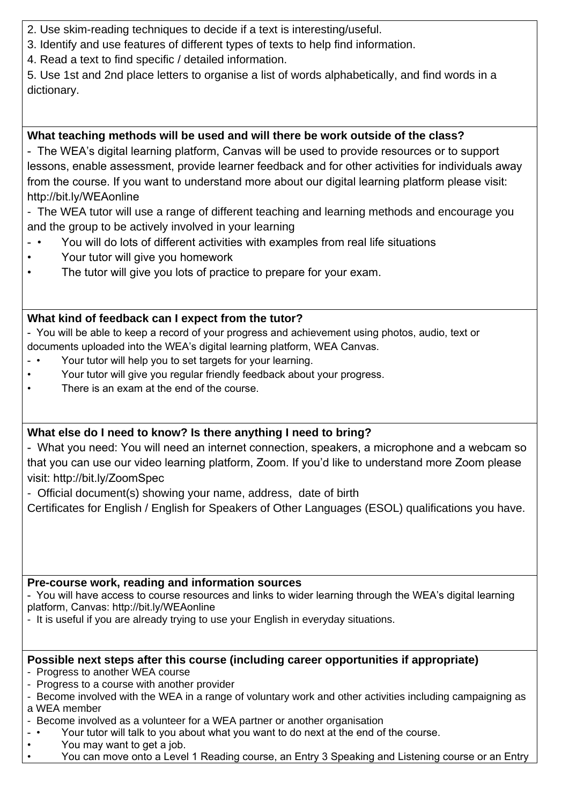- 2. Use skim-reading techniques to decide if a text is interesting/useful.
- 3. Identify and use features of different types of texts to help find information.
- 4. Read a text to find specific / detailed information.

5. Use 1st and 2nd place letters to organise a list of words alphabetically, and find words in a dictionary.

## **What teaching methods will be used and will there be work outside of the class?**

- The WEA's digital learning platform, Canvas will be used to provide resources or to support lessons, enable assessment, provide learner feedback and for other activities for individuals away from the course. If you want to understand more about our digital learning platform please visit: http://bit.ly/WEAonline

- The WEA tutor will use a range of different teaching and learning methods and encourage you and the group to be actively involved in your learning

- • You will do lots of different activities with examples from real life situations
- Your tutor will give you homework
- The tutor will give you lots of practice to prepare for your exam.

## **What kind of feedback can I expect from the tutor?**

- You will be able to keep a record of your progress and achievement using photos, audio, text or documents uploaded into the WEA's digital learning platform, WEA Canvas.

- • Your tutor will help you to set targets for your learning.
- Your tutor will give you regular friendly feedback about your progress.
- There is an exam at the end of the course.

# **What else do I need to know? Is there anything I need to bring?**

- What you need: You will need an internet connection, speakers, a microphone and a webcam so that you can use our video learning platform, Zoom. If you'd like to understand more Zoom please visit: http://bit.ly/ZoomSpec

- Official document(s) showing your name, address, date of birth

Certificates for English / English for Speakers of Other Languages (ESOL) qualifications you have.

## **Pre-course work, reading and information sources**

- You will have access to course resources and links to wider learning through the WEA's digital learning platform, Canvas: http://bit.ly/WEAonline

- It is useful if you are already trying to use your English in everyday situations.

## **Possible next steps after this course (including career opportunities if appropriate)**

- Progress to another WEA course
- Progress to a course with another provider
- Become involved with the WEA in a range of voluntary work and other activities including campaigning as a WEA member
- Become involved as a volunteer for a WEA partner or another organisation
- • Your tutor will talk to you about what you want to do next at the end of the course.
- You may want to get a job.
- You can move onto a Level 1 Reading course, an Entry 3 Speaking and Listening course or an Entry